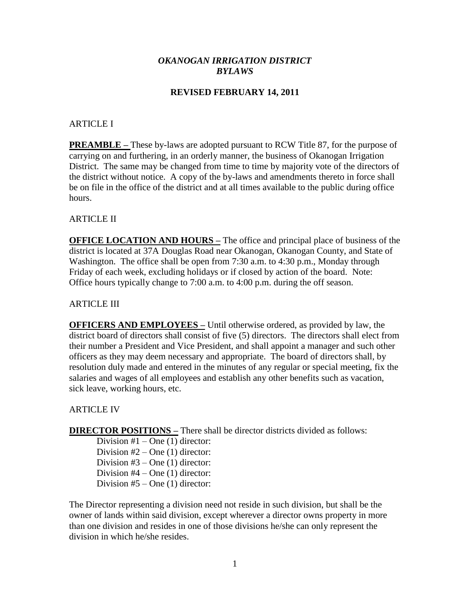## *OKANOGAN IRRIGATION DISTRICT BYLAWS*

## **REVISED FEBRUARY 14, 2011**

### ARTICLE I

**PREAMBLE –** These by-laws are adopted pursuant to RCW Title 87, for the purpose of carrying on and furthering, in an orderly manner, the business of Okanogan Irrigation District. The same may be changed from time to time by majority vote of the directors of the district without notice. A copy of the by-laws and amendments thereto in force shall be on file in the office of the district and at all times available to the public during office hours.

**ARTICLE II** 

**OFFICE LOCATION AND HOURS –** The office and principal place of business of the district is located at 37A Douglas Road near Okanogan, Okanogan County, and State of Washington. The office shall be open from 7:30 a.m. to 4:30 p.m., Monday through Friday of each week, excluding holidays or if closed by action of the board. Note: Office hours typically change to 7:00 a.m. to 4:00 p.m. during the off season.

## ARTICLE III

**OFFICERS AND EMPLOYEES –** Until otherwise ordered, as provided by law, the district board of directors shall consist of five (5) directors. The directors shall elect from their number a President and Vice President, and shall appoint a manager and such other officers as they may deem necessary and appropriate. The board of directors shall, by resolution duly made and entered in the minutes of any regular or special meeting, fix the salaries and wages of all employees and establish any other benefits such as vacation, sick leave, working hours, etc.

### ARTICLE IV

**DIRECTOR POSITIONS –** There shall be director districts divided as follows:

Division  $#1$  – One (1) director: Division  $#2$  – One (1) director: Division  $#3$  – One (1) director: Division #4 – One (1) director: Division  $#5 - One(1)$  director:

The Director representing a division need not reside in such division, but shall be the owner of lands within said division, except wherever a director owns property in more than one division and resides in one of those divisions he/she can only represent the division in which he/she resides.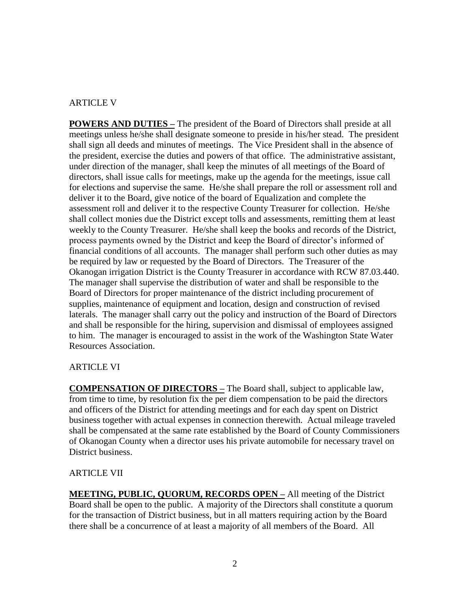## ARTICLE V

**POWERS AND DUTIES –** The president of the Board of Directors shall preside at all meetings unless he/she shall designate someone to preside in his/her stead. The president shall sign all deeds and minutes of meetings. The Vice President shall in the absence of the president, exercise the duties and powers of that office. The administrative assistant, under direction of the manager, shall keep the minutes of all meetings of the Board of directors, shall issue calls for meetings, make up the agenda for the meetings, issue call for elections and supervise the same. He/she shall prepare the roll or assessment roll and deliver it to the Board, give notice of the board of Equalization and complete the assessment roll and deliver it to the respective County Treasurer for collection. He/she shall collect monies due the District except tolls and assessments, remitting them at least weekly to the County Treasurer. He/she shall keep the books and records of the District, process payments owned by the District and keep the Board of director's informed of financial conditions of all accounts. The manager shall perform such other duties as may be required by law or requested by the Board of Directors. The Treasurer of the Okanogan irrigation District is the County Treasurer in accordance with RCW 87.03.440. The manager shall supervise the distribution of water and shall be responsible to the Board of Directors for proper maintenance of the district including procurement of supplies, maintenance of equipment and location, design and construction of revised laterals. The manager shall carry out the policy and instruction of the Board of Directors and shall be responsible for the hiring, supervision and dismissal of employees assigned to him. The manager is encouraged to assist in the work of the Washington State Water Resources Association.

# ARTICLE VI

**COMPENSATION OF DIRECTORS –** The Board shall, subject to applicable law, from time to time, by resolution fix the per diem compensation to be paid the directors and officers of the District for attending meetings and for each day spent on District business together with actual expenses in connection therewith. Actual mileage traveled shall be compensated at the same rate established by the Board of County Commissioners of Okanogan County when a director uses his private automobile for necessary travel on District business.

## ARTICLE VII

**MEETING, PUBLIC, QUORUM, RECORDS OPEN –** All meeting of the District Board shall be open to the public. A majority of the Directors shall constitute a quorum for the transaction of District business, but in all matters requiring action by the Board there shall be a concurrence of at least a majority of all members of the Board. All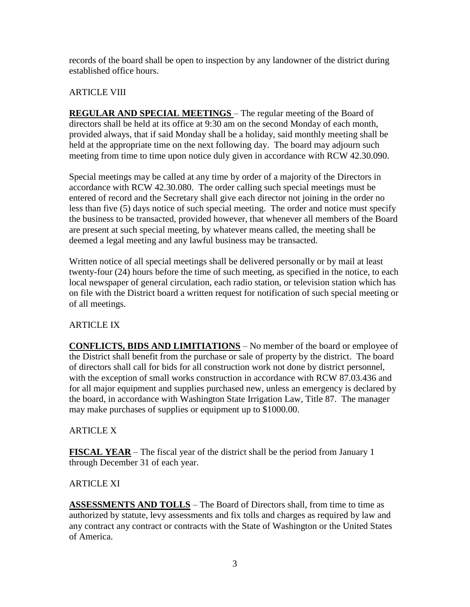records of the board shall be open to inspection by any landowner of the district during established office hours.

# ARTICLE VIII

**REGULAR AND SPECIAL MEETINGS** – The regular meeting of the Board of directors shall be held at its office at 9:30 am on the second Monday of each month, provided always, that if said Monday shall be a holiday, said monthly meeting shall be held at the appropriate time on the next following day. The board may adjourn such meeting from time to time upon notice duly given in accordance with RCW 42.30.090.

Special meetings may be called at any time by order of a majority of the Directors in accordance with RCW 42.30.080. The order calling such special meetings must be entered of record and the Secretary shall give each director not joining in the order no less than five (5) days notice of such special meeting. The order and notice must specify the business to be transacted, provided however, that whenever all members of the Board are present at such special meeting, by whatever means called, the meeting shall be deemed a legal meeting and any lawful business may be transacted.

Written notice of all special meetings shall be delivered personally or by mail at least twenty-four (24) hours before the time of such meeting, as specified in the notice, to each local newspaper of general circulation, each radio station, or television station which has on file with the District board a written request for notification of such special meeting or of all meetings.

# ARTICLE IX

**CONFLICTS, BIDS AND LIMITIATIONS** – No member of the board or employee of the District shall benefit from the purchase or sale of property by the district. The board of directors shall call for bids for all construction work not done by district personnel, with the exception of small works construction in accordance with RCW 87.03.436 and for all major equipment and supplies purchased new, unless an emergency is declared by the board, in accordance with Washington State Irrigation Law, Title 87. The manager may make purchases of supplies or equipment up to \$1000.00.

# ARTICLE X

**FISCAL YEAR** – The fiscal year of the district shall be the period from January 1 through December 31 of each year.

## ARTICLE XI

**ASSESSMENTS AND TOLLS** – The Board of Directors shall, from time to time as authorized by statute, levy assessments and fix tolls and charges as required by law and any contract any contract or contracts with the State of Washington or the United States of America.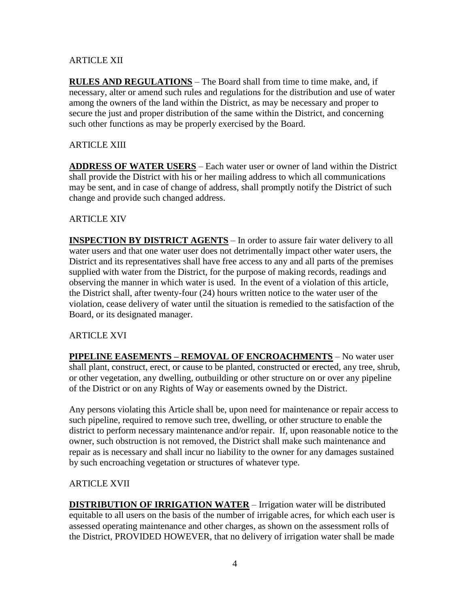# ARTICLE XII

**RULES AND REGULATIONS** – The Board shall from time to time make, and, if necessary, alter or amend such rules and regulations for the distribution and use of water among the owners of the land within the District, as may be necessary and proper to secure the just and proper distribution of the same within the District, and concerning such other functions as may be properly exercised by the Board.

## ARTICLE XIII

**ADDRESS OF WATER USERS** – Each water user or owner of land within the District shall provide the District with his or her mailing address to which all communications may be sent, and in case of change of address, shall promptly notify the District of such change and provide such changed address.

## **ARTICLE XIV**

**INSPECTION BY DISTRICT AGENTS** – In order to assure fair water delivery to all water users and that one water user does not detrimentally impact other water users, the District and its representatives shall have free access to any and all parts of the premises supplied with water from the District, for the purpose of making records, readings and observing the manner in which water is used. In the event of a violation of this article, the District shall, after twenty-four (24) hours written notice to the water user of the violation, cease delivery of water until the situation is remedied to the satisfaction of the Board, or its designated manager.

## ARTICLE XVI

**PIPELINE EASEMENTS – REMOVAL OF ENCROACHMENTS** – No water user shall plant, construct, erect, or cause to be planted, constructed or erected, any tree, shrub, or other vegetation, any dwelling, outbuilding or other structure on or over any pipeline of the District or on any Rights of Way or easements owned by the District.

Any persons violating this Article shall be, upon need for maintenance or repair access to such pipeline, required to remove such tree, dwelling, or other structure to enable the district to perform necessary maintenance and/or repair. If, upon reasonable notice to the owner, such obstruction is not removed, the District shall make such maintenance and repair as is necessary and shall incur no liability to the owner for any damages sustained by such encroaching vegetation or structures of whatever type.

# ARTICLE XVII

**DISTRIBUTION OF IRRIGATION WATER** – Irrigation water will be distributed equitable to all users on the basis of the number of irrigable acres, for which each user is assessed operating maintenance and other charges, as shown on the assessment rolls of the District, PROVIDED HOWEVER, that no delivery of irrigation water shall be made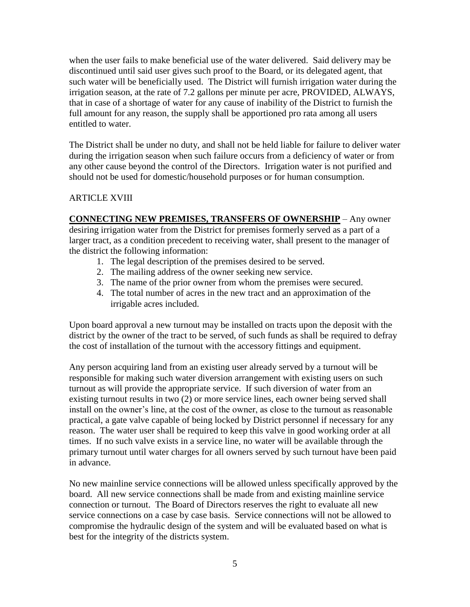when the user fails to make beneficial use of the water delivered. Said delivery may be discontinued until said user gives such proof to the Board, or its delegated agent, that such water will be beneficially used. The District will furnish irrigation water during the irrigation season, at the rate of 7.2 gallons per minute per acre, PROVIDED, ALWAYS, that in case of a shortage of water for any cause of inability of the District to furnish the full amount for any reason, the supply shall be apportioned pro rata among all users entitled to water.

The District shall be under no duty, and shall not be held liable for failure to deliver water during the irrigation season when such failure occurs from a deficiency of water or from any other cause beyond the control of the Directors. Irrigation water is not purified and should not be used for domestic/household purposes or for human consumption.

# ARTICLE XVIII

**CONNECTING NEW PREMISES, TRANSFERS OF OWNERSHIP** – Any owner desiring irrigation water from the District for premises formerly served as a part of a larger tract, as a condition precedent to receiving water, shall present to the manager of the district the following information:

- 1. The legal description of the premises desired to be served.
- 2. The mailing address of the owner seeking new service.
- 3. The name of the prior owner from whom the premises were secured.
- 4. The total number of acres in the new tract and an approximation of the irrigable acres included.

Upon board approval a new turnout may be installed on tracts upon the deposit with the district by the owner of the tract to be served, of such funds as shall be required to defray the cost of installation of the turnout with the accessory fittings and equipment.

Any person acquiring land from an existing user already served by a turnout will be responsible for making such water diversion arrangement with existing users on such turnout as will provide the appropriate service. If such diversion of water from an existing turnout results in two (2) or more service lines, each owner being served shall install on the owner's line, at the cost of the owner, as close to the turnout as reasonable practical, a gate valve capable of being locked by District personnel if necessary for any reason. The water user shall be required to keep this valve in good working order at all times. If no such valve exists in a service line, no water will be available through the primary turnout until water charges for all owners served by such turnout have been paid in advance.

No new mainline service connections will be allowed unless specifically approved by the board. All new service connections shall be made from and existing mainline service connection or turnout. The Board of Directors reserves the right to evaluate all new service connections on a case by case basis. Service connections will not be allowed to compromise the hydraulic design of the system and will be evaluated based on what is best for the integrity of the districts system.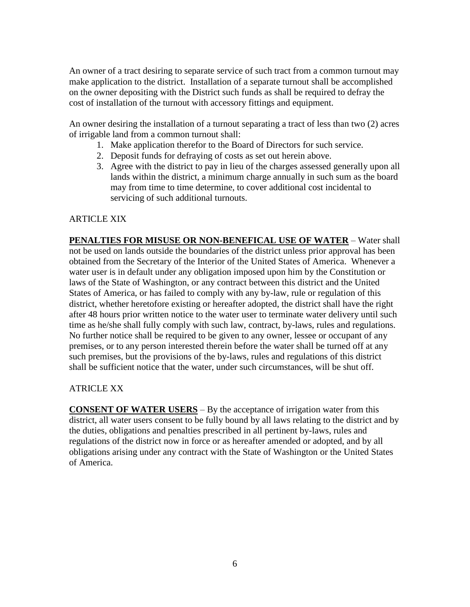An owner of a tract desiring to separate service of such tract from a common turnout may make application to the district. Installation of a separate turnout shall be accomplished on the owner depositing with the District such funds as shall be required to defray the cost of installation of the turnout with accessory fittings and equipment.

An owner desiring the installation of a turnout separating a tract of less than two (2) acres of irrigable land from a common turnout shall:

- 1. Make application therefor to the Board of Directors for such service.
- 2. Deposit funds for defraying of costs as set out herein above.
- 3. Agree with the district to pay in lieu of the charges assessed generally upon all lands within the district, a minimum charge annually in such sum as the board may from time to time determine, to cover additional cost incidental to servicing of such additional turnouts.

## ARTICLE XIX

**PENALTIES FOR MISUSE OR NON-BENEFICAL USE OF WATER** – Water shall not be used on lands outside the boundaries of the district unless prior approval has been obtained from the Secretary of the Interior of the United States of America. Whenever a water user is in default under any obligation imposed upon him by the Constitution or laws of the State of Washington, or any contract between this district and the United States of America, or has failed to comply with any by-law, rule or regulation of this district, whether heretofore existing or hereafter adopted, the district shall have the right after 48 hours prior written notice to the water user to terminate water delivery until such time as he/she shall fully comply with such law, contract, by-laws, rules and regulations. No further notice shall be required to be given to any owner, lessee or occupant of any premises, or to any person interested therein before the water shall be turned off at any such premises, but the provisions of the by-laws, rules and regulations of this district shall be sufficient notice that the water, under such circumstances, will be shut off.

## ATRICLE XX

**CONSENT OF WATER USERS** – By the acceptance of irrigation water from this district, all water users consent to be fully bound by all laws relating to the district and by the duties, obligations and penalties prescribed in all pertinent by-laws, rules and regulations of the district now in force or as hereafter amended or adopted, and by all obligations arising under any contract with the State of Washington or the United States of America.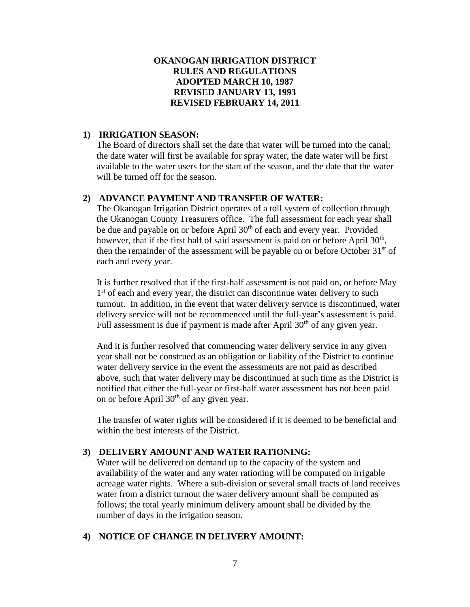## **OKANOGAN IRRIGATION DISTRICT RULES AND REGULATIONS ADOPTED MARCH 10, 1987 REVISED JANUARY 13, 1993 REVISED FEBRUARY 14, 2011**

## **1) IRRIGATION SEASON:**

The Board of directors shall set the date that water will be turned into the canal; the date water will first be available for spray water, the date water will be first available to the water users for the start of the season, and the date that the water will be turned off for the season.

## **2) ADVANCE PAYMENT AND TRANSFER OF WATER:**

The Okanogan Irrigation District operates of a toll system of collection through the Okanogan County Treasurers office. The full assessment for each year shall be due and payable on or before April  $30<sup>th</sup>$  of each and every year. Provided however, that if the first half of said assessment is paid on or before April  $30<sup>th</sup>$ , then the remainder of the assessment will be payable on or before October  $31<sup>st</sup>$  of each and every year.

It is further resolved that if the first-half assessment is not paid on, or before May 1<sup>st</sup> of each and every year, the district can discontinue water delivery to such turnout. In addition, in the event that water delivery service is discontinued, water delivery service will not be recommenced until the full-year's assessment is paid. Full assessment is due if payment is made after April  $30<sup>th</sup>$  of any given year.

And it is further resolved that commencing water delivery service in any given year shall not be construed as an obligation or liability of the District to continue water delivery service in the event the assessments are not paid as described above, such that water delivery may be discontinued at such time as the District is notified that either the full-year or first-half water assessment has not been paid on or before April  $30<sup>th</sup>$  of any given year.

The transfer of water rights will be considered if it is deemed to be beneficial and within the best interests of the District.

## **3) DELIVERY AMOUNT AND WATER RATIONING:**

Water will be delivered on demand up to the capacity of the system and availability of the water and any water rationing will be computed on irrigable acreage water rights. Where a sub-division or several small tracts of land receives water from a district turnout the water delivery amount shall be computed as follows; the total yearly minimum delivery amount shall be divided by the number of days in the irrigation season.

## **4) NOTICE OF CHANGE IN DELIVERY AMOUNT:**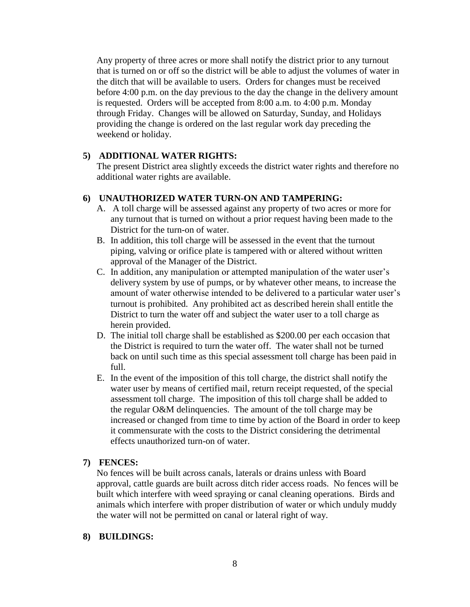Any property of three acres or more shall notify the district prior to any turnout that is turned on or off so the district will be able to adjust the volumes of water in the ditch that will be available to users. Orders for changes must be received before 4:00 p.m. on the day previous to the day the change in the delivery amount is requested. Orders will be accepted from 8:00 a.m. to 4:00 p.m. Monday through Friday. Changes will be allowed on Saturday, Sunday, and Holidays providing the change is ordered on the last regular work day preceding the weekend or holiday.

### **5) ADDITIONAL WATER RIGHTS:**

The present District area slightly exceeds the district water rights and therefore no additional water rights are available.

## **6) UNAUTHORIZED WATER TURN-ON AND TAMPERING:**

- A. A toll charge will be assessed against any property of two acres or more for any turnout that is turned on without a prior request having been made to the District for the turn-on of water.
- B. In addition, this toll charge will be assessed in the event that the turnout piping, valving or orifice plate is tampered with or altered without written approval of the Manager of the District.
- C. In addition, any manipulation or attempted manipulation of the water user's delivery system by use of pumps, or by whatever other means, to increase the amount of water otherwise intended to be delivered to a particular water user's turnout is prohibited. Any prohibited act as described herein shall entitle the District to turn the water off and subject the water user to a toll charge as herein provided.
- D. The initial toll charge shall be established as \$200.00 per each occasion that the District is required to turn the water off. The water shall not be turned back on until such time as this special assessment toll charge has been paid in full.
- E. In the event of the imposition of this toll charge, the district shall notify the water user by means of certified mail, return receipt requested, of the special assessment toll charge. The imposition of this toll charge shall be added to the regular O&M delinquencies. The amount of the toll charge may be increased or changed from time to time by action of the Board in order to keep it commensurate with the costs to the District considering the detrimental effects unauthorized turn-on of water.

### **7) FENCES:**

No fences will be built across canals, laterals or drains unless with Board approval, cattle guards are built across ditch rider access roads. No fences will be built which interfere with weed spraying or canal cleaning operations. Birds and animals which interfere with proper distribution of water or which unduly muddy the water will not be permitted on canal or lateral right of way.

### **8) BUILDINGS:**